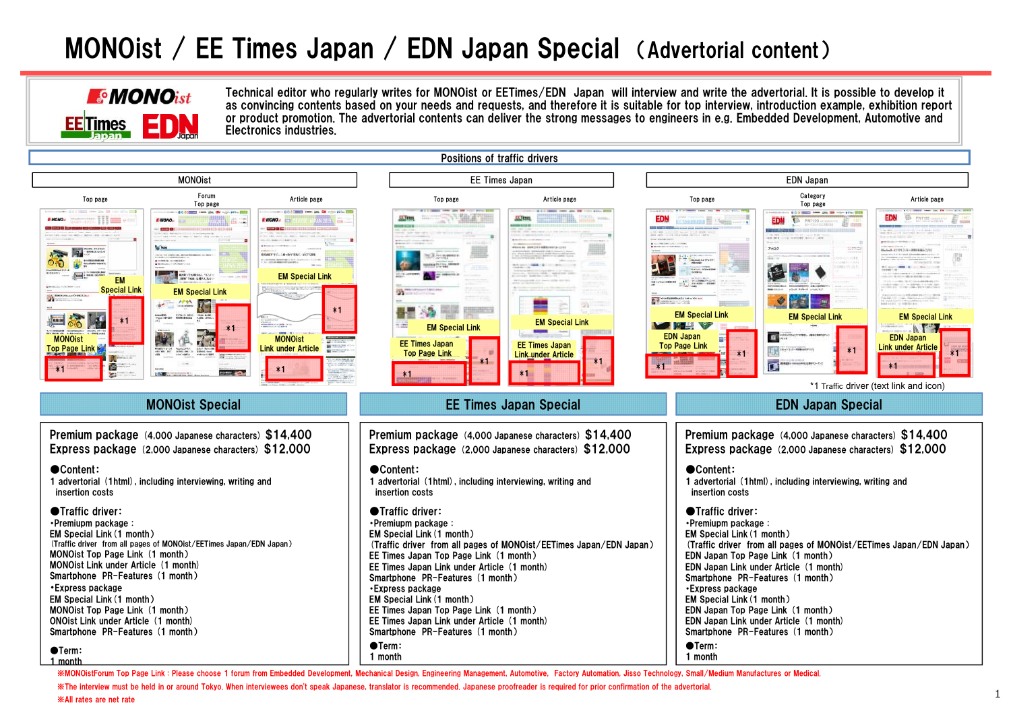## MONOist / EE Times Japan / EDN Japan Special (Advertorial content)



Technical editor who regularly writes for MONOist or EETimes/EDN Japan will interview and write the advertorial. It is possible to develop it as convincing contents based on your needs and requests, and therefore it is suitable for top interview, introduction example, exhibition report or product promotion. The advertorial contents can deliver the strong messages to engineers in e.g. Embedded Development, Automotive and Electronics industries.



※MONOistForum Top Page Link : Please choose 1 forum from Embedded Development, Mechanical Design, Engineering Management, Automotive, Factory Automation, Jisso Technology, Small/Medium Manufactures or Medical.

※The interview must be held in or around Tokyo. When interviewees don't speak Japanese, translator is recommended. Japanese proofreader is required for prior confirmation of the advertorial.

※All rates are net rate